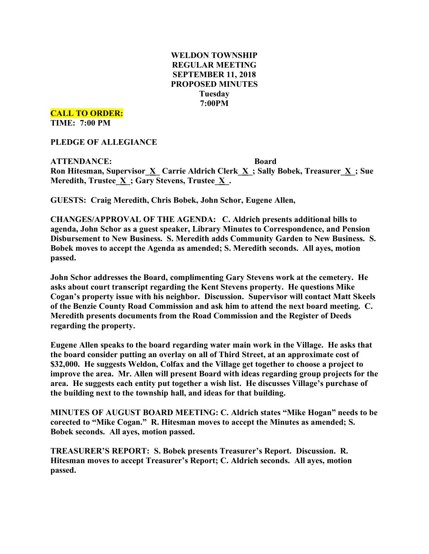# **WELDON TOWNSHIP REGULAR MEETING SEPTEMBER 11, 2018 PROPOSED MINUTES Tuesday 7:00PM**

**CALL TO ORDER:**

**TIME: 7:00 PM**

**PLEDGE OF ALLEGIANCE**

**ATTENDANCE: Board Ron Hitesman, Supervisor\_X\_ Carrie Aldrich Clerk\_X\_; Sally Bobek, Treasurer\_X\_; Sue Meredith, Trustee\_X\_; Gary Stevens, Trustee\_X\_.**

**GUESTS: Craig Meredith, Chris Bobek, John Schor, Eugene Allen,**

**CHANGES/APPROVAL OF THE AGENDA: C. Aldrich presents additional bills to agenda, John Schor as a guest speaker, Library Minutes to Correspondence, and Pension Disbursement to New Business. S. Meredith adds Community Garden to New Business. S. Bobek moves to accept the Agenda as amended; S. Meredith seconds. All ayes, motion passed.**

**John Schor addresses the Board, complimenting Gary Stevens work at the cemetery. He asks about court transcript regarding the Kent Stevens property. He questions Mike Cogan's property issue with his neighbor. Discussion. Supervisor will contact Matt Skeels of the Benzie County Road Commission and ask him to attend the next board meeting. C. Meredith presents documents from the Road Commission and the Register of Deeds regarding the property.**

**Eugene Allen speaks to the board regarding water main work in the Village. He asks that the board consider putting an overlay on all of Third Street, at an approximate cost of \$32,000. He suggests Weldon, Colfax and the Village get together to choose a project to improve the area. Mr. Allen will present Board with ideas regarding group projects for the area. He suggests each entity put together a wish list. He discusses Village's purchase of the building next to the township hall, and ideas for that building.**

**MINUTES OF AUGUST BOARD MEETING: C. Aldrich states "Mike Hogan" needs to be corected to "Mike Cogan." R. Hitesman moves to accept the Minutes as amended; S. Bobek seconds. All ayes, motion passed.**

**TREASURER'S REPORT: S. Bobek presents Treasurer's Report. Discussion. R. Hitesman moves to accept Treasurer's Report; C. Aldrich seconds. All ayes, motion passed.**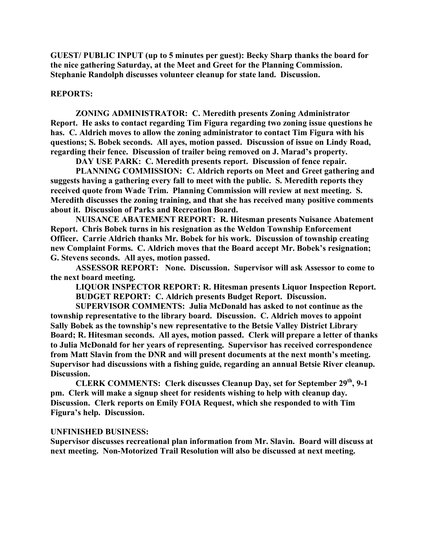**GUEST/ PUBLIC INPUT (up to 5 minutes per guest): Becky Sharp thanks the board for the nice gathering Saturday, at the Meet and Greet for the Planning Commission. Stephanie Randolph discusses volunteer cleanup for state land. Discussion.**

### **REPORTS:**

**ZONING ADMINISTRATOR: C. Meredith presents Zoning Administrator Report. He asks to contact regarding Tim Figura regarding two zoning issue questions he has. C. Aldrich moves to allow the zoning administrator to contact Tim Figura with his questions; S. Bobek seconds. All ayes, motion passed. Discussion of issue on Lindy Road, regarding their fence. Discussion of trailer being removed on J. Marad's property.**

**DAY USE PARK: C. Meredith presents report. Discussion of fence repair.**

**PLANNING COMMISSION: C. Aldrich reports on Meet and Greet gathering and suggests having a gathering every fall to meet with the public. S. Meredith reports they received quote from Wade Trim. Planning Commission will review at next meeting. S. Meredith discusses the zoning training, and that she has received many positive comments about it. Discussion of Parks and Recreation Board.**

**NUISANCE ABATEMENT REPORT: R. Hitesman presents Nuisance Abatement Report. Chris Bobek turns in his resignation as the Weldon Township Enforcement Officer. Carrie Aldrich thanks Mr. Bobek for his work. Discussion of township creating new Complaint Forms. C. Aldrich moves that the Board accept Mr. Bobek's resignation; G. Stevens seconds. All ayes, motion passed.**

**ASSESSOR REPORT: None. Discussion. Supervisor will ask Assessor to come to the next board meeting.**

**LIQUOR INSPECTOR REPORT: R. Hitesman presents Liquor Inspection Report. BUDGET REPORT: C. Aldrich presents Budget Report. Discussion.**

**SUPERVISOR COMMENTS: Julia McDonald has asked to not continue as the township representative to the library board. Discussion. C. Aldrich moves to appoint Sally Bobek as the township's new representative to the Betsie Valley District Library Board; R. Hitesman seconds. All ayes, motion passed. Clerk will prepare a letter of thanks to Julia McDonald for her years of representing. Supervisor has received correspondence from Matt Slavin from the DNR and will present documents at the next month's meeting. Supervisor had discussions with a fishing guide, regarding an annual Betsie River cleanup. Discussion.**

**CLERK COMMENTS: Clerk discusses Cleanup Day, set for September 29th, 9-1 pm. Clerk will make a signup sheet for residents wishing to help with cleanup day. Discussion. Clerk reports on Emily FOIA Request, which she responded to with Tim Figura's help. Discussion.**

#### **UNFINISHED BUSINESS:**

**Supervisor discusses recreational plan information from Mr. Slavin. Board will discuss at next meeting. Non-Motorized Trail Resolution will also be discussed at next meeting.**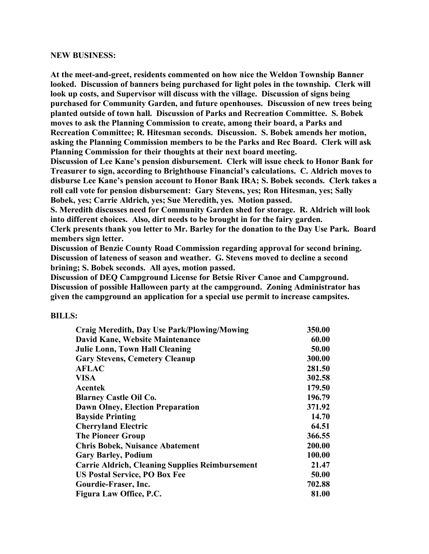## **NEW BUSINESS:**

**At the meet-and-greet, residents commented on how nice the Weldon Township Banner looked. Discussion of banners being purchased for light poles in the township. Clerk will look up costs, and Supervisor will discuss with the village. Discussion of signs being purchased for Community Garden, and future openhouses. Discussion of new trees being planted outside of town hall. Discussion of Parks and Recreation Committee. S. Bobek moves to ask the Planning Commission to create, among their board, a Parks and Recreation Committee; R. Hitesman seconds. Discussion. S. Bobek amends her motion, asking the Planning Commission members to be the Parks and Rec Board. Clerk will ask Planning Commission for their thoughts at their next board meeting.**

**Discussion of Lee Kane's pension disbursement. Clerk will issue check to Honor Bank for Treasurer to sign, according to Brighthouse Financial's calculations. C. Aldrich moves to disburse Lee Kane's pension account to Honor Bank IRA; S. Bobek seconds. Clerk takes a roll call vote for pension disbursement: Gary Stevens, yes; Ron Hitesman, yes; Sally Bobek, yes; Carrie Aldrich, yes; Sue Meredith, yes. Motion passed.**

**S. Meredith discusses need for Community Garden shed for storage. R. Aldrich will look into different choices. Also, dirt needs to be brought in for the fairy garden.**

**Clerk presents thank you letter to Mr. Barley for the donation to the Day Use Park. Board members sign letter.**

**Discussion of Benzie County Road Commission regarding approval for second brining. Discussion of lateness of season and weather. G. Stevens moved to decline a second brining; S. Bobek seconds. All ayes, motion passed.**

**Discussion of DEQ Campground License for Betsie River Canoe and Campground. Discussion of possible Halloween party at the campground. Zoning Administrator has given the campground an application for a special use permit to increase campsites.**

#### **BILLS:**

| <b>Craig Meredith, Day Use Park/Plowing/Mowing</b>     | 350.00 |
|--------------------------------------------------------|--------|
| David Kane, Website Maintenance                        | 60.00  |
| <b>Julie Lonn, Town Hall Cleaning</b>                  | 50.00  |
| <b>Gary Stevens, Cemetery Cleanup</b>                  | 300.00 |
| <b>AFLAC</b>                                           | 281.50 |
| <b>VISA</b>                                            | 302.58 |
| <b>Acentek</b>                                         | 179.50 |
| <b>Blarney Castle Oil Co.</b>                          | 196.79 |
| <b>Dawn Olney, Election Preparation</b>                | 371.92 |
| <b>Bayside Printing</b>                                | 14.70  |
| <b>Cherryland Electric</b>                             | 64.51  |
| <b>The Pioneer Group</b>                               | 366.55 |
| <b>Chris Bobek, Nuisance Abatement</b>                 | 200.00 |
| <b>Gary Barley, Podium</b>                             | 100.00 |
| <b>Carrie Aldrich, Cleaning Supplies Reimbursement</b> | 21.47  |
| <b>US Postal Service, PO Box Fee</b>                   | 50.00  |
| Gourdie-Fraser, Inc.                                   | 702.88 |
| Figura Law Office, P.C.                                | 81.00  |